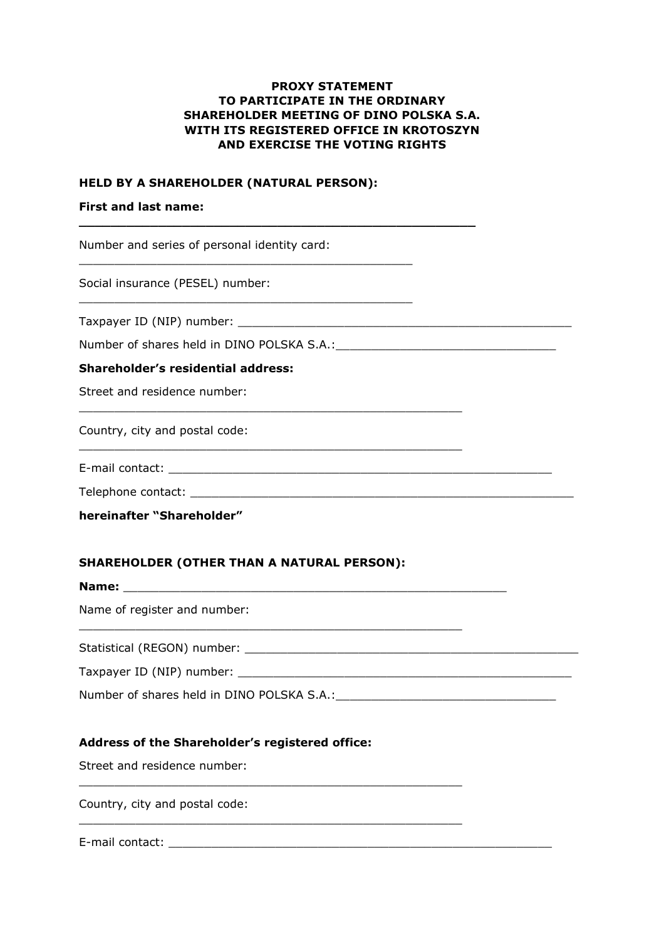### **PROXY STATEMENT TO PARTICIPATE IN THE ORDINARY SHAREHOLDER MEETING OF DINO POLSKA S.A. WITH ITS REGISTERED OFFICE IN KROTOSZYN AND EXERCISE THE VOTING RIGHTS**

### **HELD BY A SHAREHOLDER (NATURAL PERSON):**

\_\_\_\_\_\_\_\_\_\_\_\_\_\_\_\_\_\_\_\_\_\_\_\_\_\_\_\_\_\_\_\_\_\_\_\_\_\_\_\_\_\_\_\_\_\_\_

\_\_\_\_\_\_\_\_\_\_\_\_\_\_\_\_\_\_\_\_\_\_\_\_\_\_\_\_\_\_\_\_\_\_\_\_\_\_\_\_\_\_\_\_\_\_\_

**\_\_\_\_\_\_\_\_\_\_\_\_\_\_\_\_\_\_\_\_\_\_\_\_\_\_\_\_\_\_\_\_\_\_\_\_\_\_\_\_\_\_\_\_\_\_\_\_\_\_**

\_\_\_\_\_\_\_\_\_\_\_\_\_\_\_\_\_\_\_\_\_\_\_\_\_\_\_\_\_\_\_\_\_\_\_\_\_\_\_\_\_\_\_\_\_\_\_\_\_\_\_\_\_\_

\_\_\_\_\_\_\_\_\_\_\_\_\_\_\_\_\_\_\_\_\_\_\_\_\_\_\_\_\_\_\_\_\_\_\_\_\_\_\_\_\_\_\_\_\_\_\_\_\_\_\_\_\_\_

### **First and last name:**

Number and series of personal identity card:

Social insurance (PESEL) number:

Taxpayer ID (NIP) number:

Number of shares held in DINO POLSKA S.A.:

### **Shareholder's residential address:**

Street and residence number:

Country, city and postal code:

E-mail contact: **E-mail contact:**  $\mathbb{E}$ 

Telephone contact: \_\_\_\_\_\_\_\_\_\_\_\_\_\_\_\_\_\_\_\_\_\_\_\_\_\_\_\_\_\_\_\_\_\_\_\_\_\_\_\_\_\_\_\_\_\_\_\_\_\_\_\_\_\_

**hereinafter "Shareholder"**

### **SHAREHOLDER (OTHER THAN A NATURAL PERSON):**

**Name:** \_\_\_\_\_\_\_\_\_\_\_\_\_\_\_\_\_\_\_\_\_\_\_\_\_\_\_\_\_\_\_\_\_\_\_\_\_\_\_\_\_\_\_\_\_\_\_\_\_\_\_\_\_\_ Name of register and number: \_\_\_\_\_\_\_\_\_\_\_\_\_\_\_\_\_\_\_\_\_\_\_\_\_\_\_\_\_\_\_\_\_\_\_\_\_\_\_\_\_\_\_\_\_\_\_\_\_\_\_\_\_\_ Statistical (REGON) number: \_\_\_\_\_\_\_\_\_\_\_\_\_\_\_\_\_\_\_\_\_\_\_\_\_\_\_\_\_\_\_\_\_\_\_\_\_\_\_\_\_\_\_\_\_\_\_ Taxpayer ID (NIP) number:

Number of shares held in DINO POLSKA S.A.:

# **Address of the Shareholder's registered office:**

\_\_\_\_\_\_\_\_\_\_\_\_\_\_\_\_\_\_\_\_\_\_\_\_\_\_\_\_\_\_\_\_\_\_\_\_\_\_\_\_\_\_\_\_\_\_\_\_\_\_\_\_\_\_

\_\_\_\_\_\_\_\_\_\_\_\_\_\_\_\_\_\_\_\_\_\_\_\_\_\_\_\_\_\_\_\_\_\_\_\_\_\_\_\_\_\_\_\_\_\_\_\_\_\_\_\_\_\_

Street and residence number:

Country, city and postal code:

E-mail contact: **E-mail contact:**  $\mathbb{E}$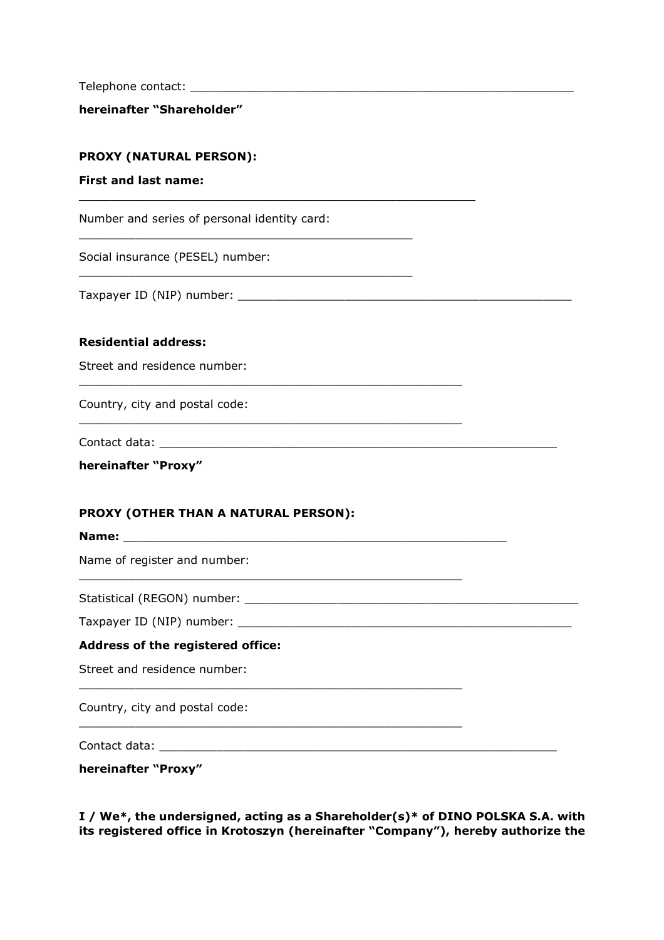Telephone contact: \_\_\_\_\_\_\_\_\_\_\_\_\_\_\_\_\_\_\_\_\_\_\_\_\_\_\_\_\_\_\_\_\_\_\_\_\_\_\_\_\_\_\_\_\_\_\_\_\_\_\_\_\_\_

**hereinafter "Shareholder"** 

### **PROXY (NATURAL PERSON):**

### **First and last name:**

Number and series of personal identity card:

**\_\_\_\_\_\_\_\_\_\_\_\_\_\_\_\_\_\_\_\_\_\_\_\_\_\_\_\_\_\_\_\_\_\_\_\_\_\_\_\_\_\_\_\_\_\_\_\_\_\_**

\_\_\_\_\_\_\_\_\_\_\_\_\_\_\_\_\_\_\_\_\_\_\_\_\_\_\_\_\_\_\_\_\_\_\_\_\_\_\_\_\_\_\_\_\_\_\_\_\_\_\_\_\_\_

\_\_\_\_\_\_\_\_\_\_\_\_\_\_\_\_\_\_\_\_\_\_\_\_\_\_\_\_\_\_\_\_\_\_\_\_\_\_\_\_\_\_\_\_\_\_\_

\_\_\_\_\_\_\_\_\_\_\_\_\_\_\_\_\_\_\_\_\_\_\_\_\_\_\_\_\_\_\_\_\_\_\_\_\_\_\_\_\_\_\_\_\_\_\_

Social insurance (PESEL) number:

Taxpayer ID (NIP) number: \_\_\_\_\_\_\_\_\_\_\_\_\_\_\_\_\_\_\_\_\_\_\_\_\_\_\_\_\_\_\_\_\_\_\_\_\_\_\_\_\_\_\_\_\_\_\_

#### **Residential address:**

Street and residence number:

Country, city and postal code:

Contact data: \_\_\_\_\_\_\_\_\_\_\_\_\_\_\_\_\_\_\_\_\_\_\_\_\_\_\_\_\_\_\_\_\_\_\_\_\_\_\_\_\_\_\_\_\_\_\_\_\_\_\_\_\_\_\_\_

| hereinafter "Proxy" |  |
|---------------------|--|
|---------------------|--|

### **PROXY (OTHER THAN A NATURAL PERSON):**

| Name of register and number:             |  |
|------------------------------------------|--|
|                                          |  |
|                                          |  |
| <b>Address of the registered office:</b> |  |
| Street and residence number:             |  |
| Country, city and postal code:           |  |
|                                          |  |

\_\_\_\_\_\_\_\_\_\_\_\_\_\_\_\_\_\_\_\_\_\_\_\_\_\_\_\_\_\_\_\_\_\_\_\_\_\_\_\_\_\_\_\_\_\_\_\_\_\_\_\_\_\_

**hereinafter "Proxy"** 

**I / We\*, the undersigned, acting as a Shareholder(s)\* of DINO POLSKA S.A. with its registered office in Krotoszyn (hereinafter "Company"), hereby authorize the**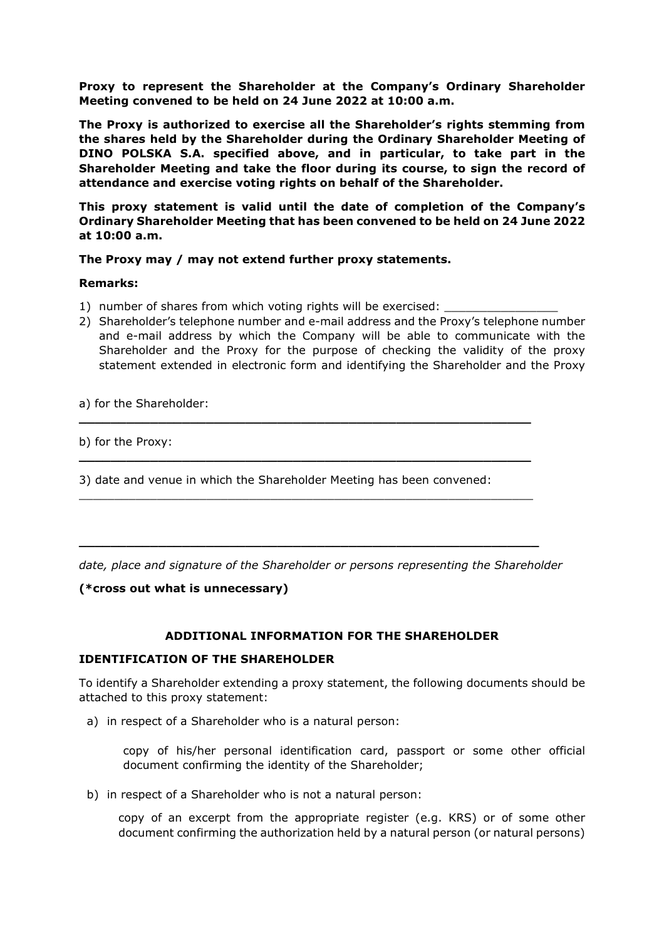**Proxy to represent the Shareholder at the Company's Ordinary Shareholder Meeting convened to be held on 24 June 2022 at 10:00 a.m.**

**The Proxy is authorized to exercise all the Shareholder's rights stemming from the shares held by the Shareholder during the Ordinary Shareholder Meeting of DINO POLSKA S.A. specified above, and in particular, to take part in the Shareholder Meeting and take the floor during its course, to sign the record of attendance and exercise voting rights on behalf of the Shareholder.**

**This proxy statement is valid until the date of completion of the Company's Ordinary Shareholder Meeting that has been convened to be held on 24 June 2022 at 10:00 a.m.**

**The Proxy may / may not extend further proxy statements.** 

### **Remarks:**

- 1) number of shares from which voting rights will be exercised:
- 2) Shareholder's telephone number and e-mail address and the Proxy's telephone number and e-mail address by which the Company will be able to communicate with the Shareholder and the Proxy for the purpose of checking the validity of the proxy statement extended in electronic form and identifying the Shareholder and the Proxy

a) for the Shareholder:

b) for the Proxy:

3) date and venue in which the Shareholder Meeting has been convened:

**\_\_\_\_\_\_\_\_\_\_\_\_\_\_\_\_\_\_\_\_\_\_\_\_\_\_\_\_\_\_\_\_\_\_\_\_\_\_\_\_\_\_\_\_\_\_\_\_\_\_\_\_\_\_\_\_\_** 

**\_\_\_\_\_\_\_\_\_\_\_\_\_\_\_\_\_\_\_\_\_\_\_\_\_\_\_\_\_\_\_\_\_\_\_\_\_\_\_\_\_\_\_\_\_\_\_\_\_\_\_\_\_\_\_\_\_** 

\_\_\_\_\_\_\_\_\_\_\_\_\_\_\_\_\_\_\_\_\_\_\_\_\_\_\_\_\_\_\_\_\_\_\_\_\_\_\_\_\_\_\_\_\_\_\_\_\_\_\_\_\_\_\_\_\_\_\_\_\_\_\_\_

**\_\_\_\_\_\_\_\_\_\_\_\_\_\_\_\_\_\_\_\_\_\_\_\_\_\_\_\_\_\_\_\_\_\_\_\_\_\_\_\_\_\_\_\_\_\_\_\_\_\_\_\_\_\_\_\_\_\_** 

*date, place and signature of the Shareholder or persons representing the Shareholder* 

**(\*cross out what is unnecessary)** 

# **ADDITIONAL INFORMATION FOR THE SHAREHOLDER**

### **IDENTIFICATION OF THE SHAREHOLDER**

To identify a Shareholder extending a proxy statement, the following documents should be attached to this proxy statement:

a) in respect of a Shareholder who is a natural person:

copy of his/her personal identification card, passport or some other official document confirming the identity of the Shareholder;

b) in respect of a Shareholder who is not a natural person:

copy of an excerpt from the appropriate register (e.g. KRS) or of some other document confirming the authorization held by a natural person (or natural persons)